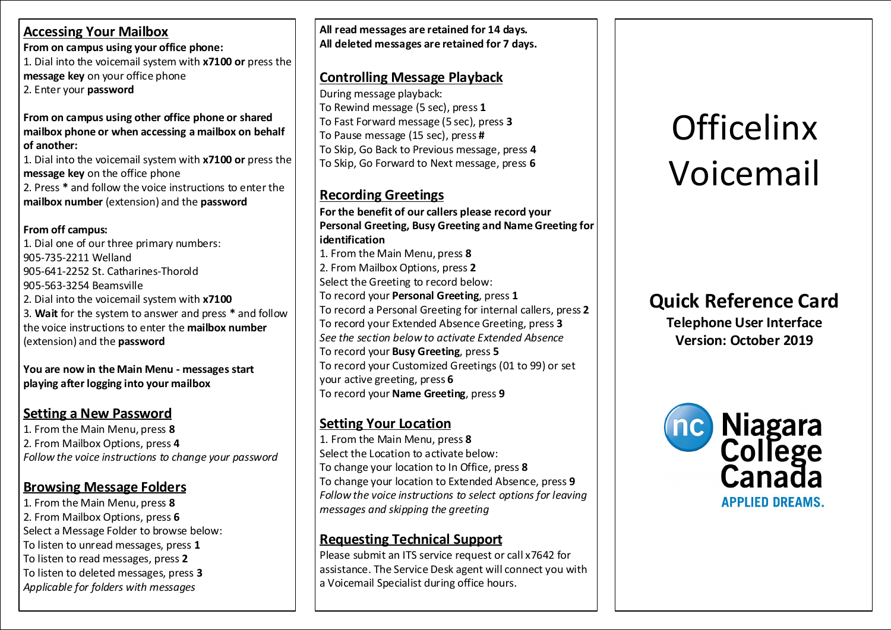#### **Accessing Your Mailbox**

**From on campus using your office phone:**

1. Dial into the voicemail system with **x7100 or** press the **message key** on your office phone 2. Enter your **password**

#### **From on campus using other office phone or shared mailbox phone or when accessing a mailbox on behalf of another:**

1. Dial into the voicemail system with **x7100 or** press the **message key** on the office phone 2. Press **\*** and follow the voice instructions to enter the **mailbox number** (extension) and the **password**

#### **From off campus:**

1. Dial one of our three primary numbers: 905-735-2211 Welland 905-641-2252 St. Catharines-Thorold 905-563-3254 Beamsville 2. Dial into the voicemail system with **x7100** 3. **Wait** for the system to answer and press **\*** and follow the voice instructions to enter the **mailbox number** (extension) and the **password**

**You are now in the Main Menu - messages start playing after logging into your mailbox**

### **Setting a New Password**

1. From the Main Menu, press **8** 2. From Mailbox Options, press **4** *Follow the voice instructions to change your password*

#### **Browsing Message Folders**

1. From the Main Menu, press **8** 2. From Mailbox Options, press **6** Select a Message Folder to browse below: To listen to unread messages, press **1** To listen to read messages, press **2** To listen to deleted messages, press **3** *Applicable for folders with messages*

**All read messages are retained for 14 days. All deleted messages are retained for 7 days.**

#### **Controlling Message Playback**

During message playback: To Rewind message (5 sec), press **1** To Fast Forward message (5 sec), press **3** To Pause message (15 sec), press **#** To Skip, Go Back to Previous message, press **4** To Skip, Go Forward to Next message, press **6**

#### **Recording Greetings**

**For the benefit of our callers please record your Personal Greeting, Busy Greeting and Name Greeting for identification** 1. From the Main Menu, press **8** 2. From Mailbox Options, press **2** Select the Greeting to record below: To record your **Personal Greeting**, press **1** To record a Personal Greeting for internal callers, press **2** To record your Extended Absence Greeting, press **3** *See the section below to activate Extended Absence* To record your **Busy Greeting**, press **5** To record your Customized Greetings (01 to 99) or set your active greeting, press **6** To record your **Name Greeting**, press **9**

### **Setting Your Location**

1. From the Main Menu, press **8** Select the Location to activate below: To change your location to In Office, press **8** To change your location to Extended Absence, press **9** *Follow the voice instructions to select options for leaving messages and skipping the greeting*

## **Requesting Technical Support**

Please submit an ITS service request or call x7642 for assistance. The Service Desk agent will connect you with a Voicemail Specialist during office hours.

# **Officelinx** Voicemail

# **Quick Reference Card**

**Telephone User Interface Version: October 2019**